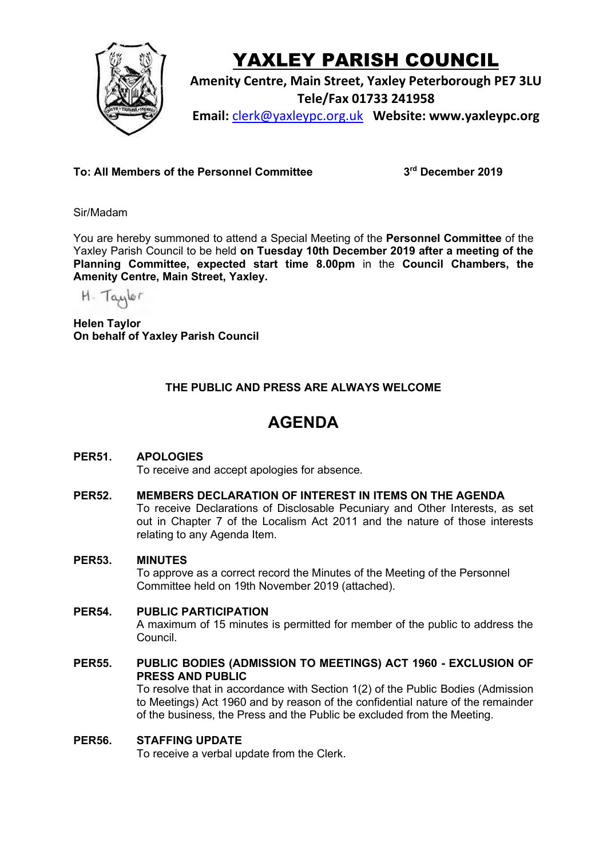

# YAXLEY PARISH COUNCIL

**Amenity Centre, Main Street, Yaxley Peterborough PE7 3LU Tele/Fax 01733 241958 Email:** [clerk@yaxleypc.org.uk](mailto:clerk@yaxleypc.org.uk) **Website: www.yaxleypc.org**

**To: All Members of the Personnel Committee 3**

**rd December 2019**

Sir/Madam

You are hereby summoned to attend a Special Meeting of the **Personnel Committee** of the Yaxley Parish Council to be held **on Tuesday 10th December 2019 after a meeting of the Planning Committee, expected start time 8.00pm** in the **Council Chambers, the Amenity Centre, Main Street, Yaxley.**

H. Taylor

**Helen Taylor On behalf of Yaxley Parish Council**

## **THE PUBLIC AND PRESS ARE ALWAYS WELCOME**

## **AGENDA**

## **PER51. APOLOGIES**

To receive and accept apologies for absence.

#### **PER52. MEMBERS DECLARATION OF INTEREST IN ITEMS ON THE AGENDA**

To receive Declarations of Disclosable Pecuniary and Other Interests, as set out in Chapter 7 of the Localism Act 2011 and the nature of those interests relating to any Agenda Item.

#### **PER53. MINUTES**

To approve as a correct record the Minutes of the Meeting of the Personnel Committee held on 19th November 2019 (attached).

#### **PER54. PUBLIC PARTICIPATION**

A maximum of 15 minutes is permitted for member of the public to address the Council.

#### **PER55. PUBLIC BODIES (ADMISSION TO MEETINGS) ACT 1960 - EXCLUSION OF PRESS AND PUBLIC**

To resolve that in accordance with Section 1(2) of the Public Bodies (Admission to Meetings) Act 1960 and by reason of the confidential nature of the remainder of the business, the Press and the Public be excluded from the Meeting.

#### **PER56. STAFFING UPDATE**

To receive a verbal update from the Clerk.